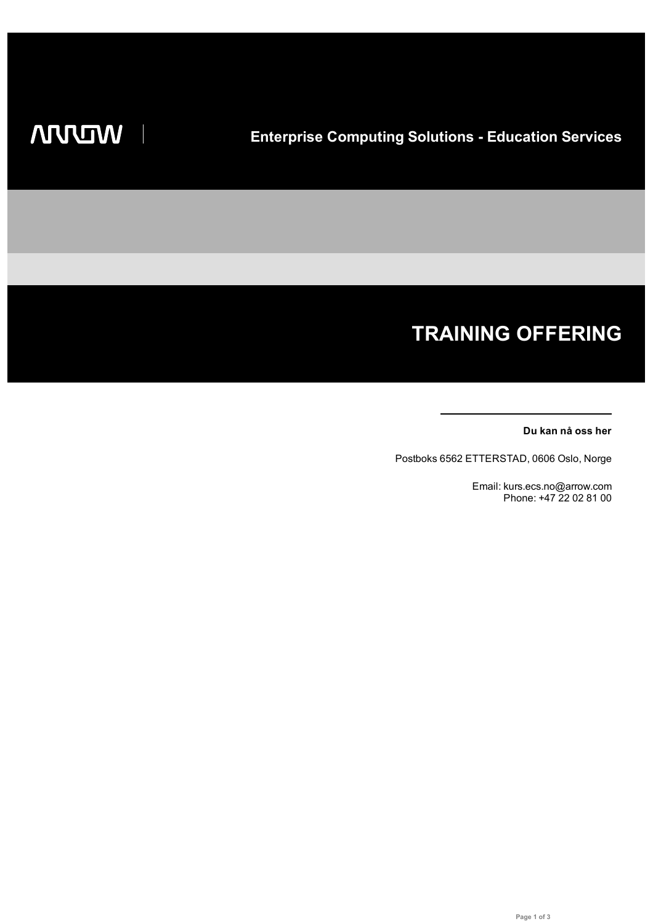# **TRAINING OFFERING**

#### **Du kan nå oss her**

Postboks 6562 ETTERSTAD, 0606 Oslo, Norge

Email: kurs.ecs.no@arrow.com Phone: +47 22 02 81 00